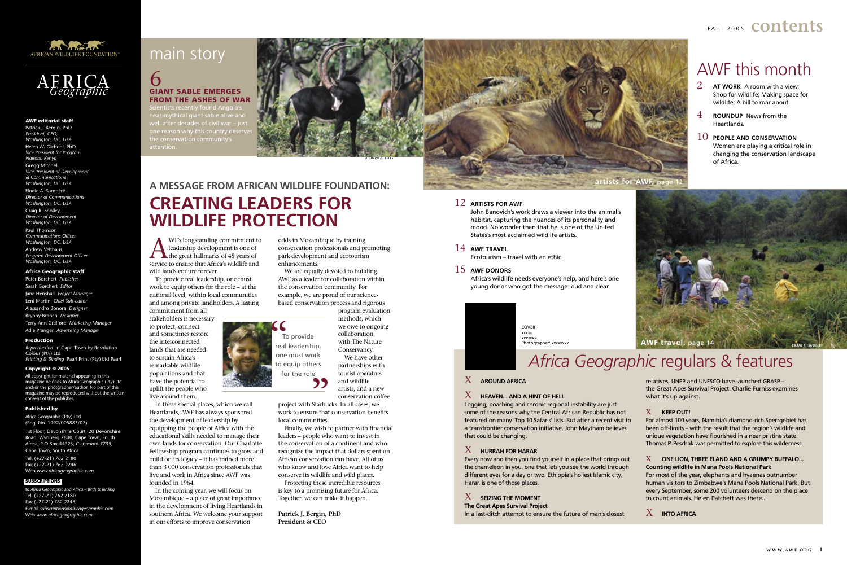WF's longstanding commitment to<br>
the great hallmarks of 45 years of<br>
service to ensure that Africa's wildlife and leadership development is one of service to ensure that Africa's wildlife and wild lands endure forever.

To provide real leadership, one must work to equip others for the role – at the national level, within local communities and among private landholders. A lasting commitment from all

stakeholders is necessary to protect, connect and sometimes restore the interconnected lands that are needed to sustain Africa's remarkable wildlife populations and that have the potential to uplift the people who live around them.

In these special places, which we call Heartlands, AWF has always sponsored the development of leadership by equipping the people of Africa with the educational skills needed to manage their own lands for conservation. Our Charlotte Fellowship program continues to grow and build on its legacy – it has trained more than 3 000 conservation professionals that live and work in Africa since AWF was founded in 1964.

project with Starbucks. In all cases, we work to ensure that conservation benefits local communities. **99**<br>Starbus<br>ure that

In the coming year, we will focus on Mozambique – a place of great importance in the development of living Heartlands in southern Africa. We welcome your support in our efforts to improve conservation

Clentists recently found Angol near-mythical giant sable alive and  $\epsilon$ er decades of civil war – just one reason why this country deserves

> odds in Mozambique by training conservation professionals and promoting park development and ecotourism enhancements.

We are equally devoted to building AWF as a leader for collaboration within the conservation community. For example, we are proud of our sciencebased conservation process and rigorous

> COVER xxxxx *xxxxxxx* Photographer: xxxxxxx

program evaluation methods, which we owe to ongoing collaboration with The Nature Conservancy. We have other partnerships with tourist operators and wildlife artists, and a new conservation coffee

Finally, we wish to partner with financial leaders – people who want to invest in the conservation of a continent and who recognize the impact that dollars spent on African conservation can have. All of us who know and love Africa want to help conserve its wildlife and wild places.

Protecting these incredible resources is key to a promising future for Africa. Together, we can make it happen.

**Patrick J. Bergin, PhD President & CEO**

### **A MESSAGE FROM AFRICAN WILDLIFE FOUNDATION: CREATING LEADERS FOR WILDLIFE PROTECTION**

### 6 GIANT SABLE EMERGES FROM THE ASHES OF WAR

F A L L 2 0 0 5 **contents**



### 12 **ARTISTS FOR AWF**

 John Banovich's work draws a viewer into the animal's habitat, capturing the nuances of its personality and mood. No wonder then that he is one of the United States's most acclaimed wildlife artists.

### 14 **AWF TRAVEL**

Ecotourism – travel with an ethic.

### 15 **AWF DONORS**

 Africa's wildlife needs everyone's help, and here's one young donor who got the message loud and clear.



## *Africa Geographic* regulars & features

### AWF this month

- 2 **AT WORK** A room with a view; Shop for wildlife; Making space for wildlife; A bill to roar about.
- 4 **ROUNDUP** News from the Heartlands.
- 10 **PEOPLE AND CONSERVATION** Women are playing a critical role in changing the conservation landscape of Africa.



### AWF editorial staff

Patrick J. Bergin, PhD *President, CEO, Washington, DC, USA* Helen W. Gichohi, PhD *Vice President for Program Nairobi, Kenya*  Gregg Mitchell *Vice President of Development & Communications Washington, DC, USA* Elodie A. Sampéré *Director of Communications Washington, DC, USA* Craig R. Sholley *Director of Development Washington, DC, USA* Paul Thomson *Communications Officer Washington, DC, USA*

Andrew Velthaus *Program Development Officer Washington, DC, USA*

### Africa Geographic staff

Peter Borchert *Publisher*  Sarah Borchert *Editor* Jane Henshall *Project Manager* Leni Martin *Chief Sub-editor* Alessandro Bonora *Designer* Bryony Branch *Designer* Terry-Ann Crafford *Marketing Manager* Adie Pranger *Advertising Manager* 

#### Production

*Reproduction* in Cape Town by Resolution Colour (Pty) Ltd *Printing & Binding* Paarl Print (Pty) Ltd Paarl

#### Copyright © 2005

All copyright for material appearing in this magazine belongs to Africa Geographic (Pty) Ltd and/or the photgrapher/author. No part of this magazine may be reproduced without the written consent of the publisher.

#### Published by

Africa Geographic (Pty) Ltd (Reg. No. 1992/005883/07)

1st Floor, Devonshire Court, 20 Devonshire Road, Wynberg 7800, Cape Town, South Africa; P O Box 44223, Claremont 7735, Cape Town, South Africa



Tel. (+27-21) 762 2180 Fax (+27-21) 762 2246 Web *www.africageographic.com*

### SUBSCRIPTIONS

to *Africa Geographic* and *Africa – Birds & Birding*  Tel. (+27-21) 762 2180 Fax (+27-21) 762 2246 E-mail *subscriptions@africageographic.com* Web *www.africageographic.com*

### main story



### X **AROUND AFRICA**

### $X$  **HEAVEN... AND A HINT OF HELL**

Logging, poaching and chronic regional instability are just some of the reasons why the Central African Republic has not featured on many 'Top 10 Safaris' lists. But after a recent visit to a transfrontier conservation initiative, John Maytham believes that could be changing.

### X **HURRAH FOR HARAR**

Every now and then you find yourself in a place that brings out the chameleon in you, one that lets you see the world through different eyes for a day or two. Ethiopia's holiest Islamic city, Harar, is one of those places.

X **SEIZING THE MOMENT The Great Apes Survival Project**

In a last-ditch attempt to ensure the future of man's closest

relatives, UNEP and UNESCO have launched GRASP – the Great Apes Survival Project. Charlie Furniss examines what it's up against.

### x **KEEP OUT!**

For almost 100 years, Namibia's diamond-rich Sperrgebiet has been off-limits – with the result that the region's wildlife and unique vegetation have flourished in a near pristine state. Thomas P. Peschak was permitted to explore this wilderness.

### x **ONE LION, THREE ELAND AND A GRUMPY BUFFALO... Counting wildlife in Mana Pools National Park**

For most of the year, elephants and hyaenas outnumber human visitors to Zimbabwe's Mana Pools National Park. But every September, some 200 volunteers descend on the place to count animals. Helen Patchett was there...

### X **INTO AFRICA**